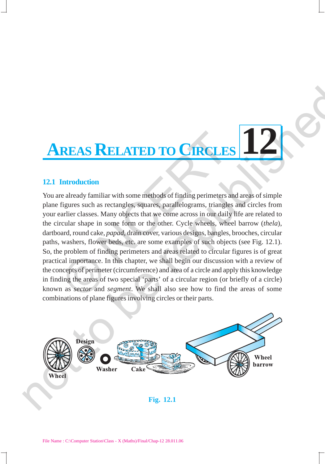## **12 AREAS RELATED TO CIRCLES**

## **12.1 Introduction**

You are already familiar with some methods of finding perimeters and areas of simple plane figures such as rectangles, squares, parallelograms, triangles and circles from your earlier classes. Many objects that we come across in our daily life are related to the circular shape in some form or the other. Cycle wheels, wheel barrow (*thela*), dartboard, round cake, *papad*, drain cover, various designs, bangles, brooches, circular paths, washers, flower beds, etc. are some examples of such objects (see Fig. 12.1). So, the problem of finding perimeters and areas related to circular figures is of great practical importance. In this chapter, we shall begin our discussion with a review of the concepts of perimeter (circumference) and area of a circle and apply this knowledge in finding the areas of two special 'parts' of a circular region (or briefly of a circle) known as *sector* and *segment*. We shall also see how to find the areas of some combinations of plane figures involving circles or their parts. **REAS RELATED TO CIRCLE**<br>
Introduction<br>
re already familiar with some methods of finding perimeters a<br>
figures such as rectangles, squares, parallelograms, triangle<br>
artier classes. Many objects that we come across in our **AREAS RELATED TO CIRCLES 12.**<br>
12.1 Introduction<br>
You are already familiar with some methods of finding perimeters and areas of simple<br>
plane fignes such as received space, parameles and consistent part in the case of si



**Fig. 12.1**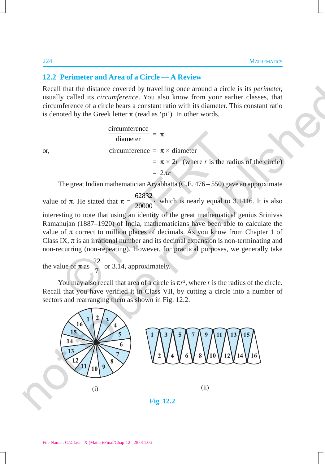## **12.2 Perimeter and Area of a Circle — A Review**

Recall that the distance covered by travelling once around a circle is its *perimeter,* usually called its *circumference*. You also know from your earlier classes, that circumference of a circle bears a constant ratio with its diameter. This constant ratio is denoted by the Greek letter  $\pi$  (read as 'pi'). In other words,

 $\frac{\text{circumference}}{\text{cos} \theta}$  =  $\pi$ diameter or, circumference =  $\pi \times$  diameter  $= \pi \times 2r$  (where *r* is the radius of the circle)  $= 2\pi r$ The great Indian mathematician Aryabhatta (C.E. 476 – 550) gave an approximate  $\frac{1}{\text{diameter}} = \pi$ circumference =  $\pi \times \text{diameter}$ <br>
=  $2\pi r$ <br>
The great Indian mathematician Aryabhatta (C.E. 476–550) g;<br>
of  $\pi$ . He stated that  $\pi = \frac{62832}{20000}$ , which is nearly equal to<br>
sting to note that using an ide

value of  $\pi$ . He stated that  $\pi = \frac{62832}{20000}$ , which is nearly equal to 3.1416. It is also

interesting to note that using an identity of the great mathematical genius Srinivas Ramanujan (1887–1920) of India, mathematicians have been able to calculate the value of π correct to million places of decimals. As you know from Chapter 1 of Class IX,  $\pi$  is an irrational number and its decimal expansion is non-terminating and non-recurring (non-repeating). However, for practical purposes, we generally take

the value of  $\pi$  as 22  $\frac{27}{7}$  or 3.14, approximately.

You may also recall that area of a circle is  $\pi r^2$ , where *r* is the radius of the circle. Recall that you have verified it in Class VII, by cutting a circle into a number of sectors and rearranging them as shown in Fig. 12.2.

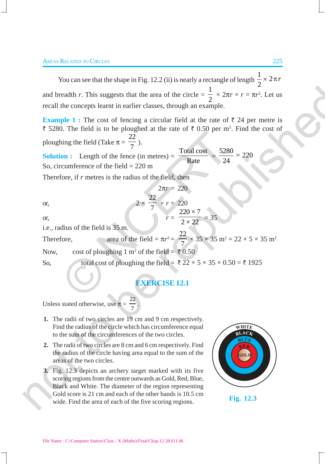You can see that the shape in Fig. 12.2 (ii) is nearly a rectangle of length  $\frac{1}{2} \times 2$ 2  $\times$  2 $\pi r$ and breadth  $r$ . This suggests that the area of the circle  $=$ 1  $\frac{1}{2} \times 2\pi r \times r = \pi r^2$ . Let us recall the concepts learnt in earlier classes, through an example.

**Example 1 :** The cost of fencing a circular field at the rate of  $\bar{\tau}$  24 per metre is ₹ 5280. The field is to be ploughed at the rate of  $\bar{\tau}$  0.50 per m<sup>2</sup>. Find the cost of ploughing the field (Take  $\pi = \frac{22}{7}$ ). and breadth r. This suggests that the area of the circle  $-\frac{1}{2} \times 2\pi r \times r = \pi r^2$ . Let us<br>recall the concepts learn in earlier classes, through an example.<br>Example 1 : The cost of Forcing a circular field at the rate of

2π*r* = 220

 $\frac{20}{7} \times r = 220$ 

**Solution :** Length of the fence (in metres) =  $\frac{\text{Total cost}}{\text{Rate}} = \frac{5280}{24} = 220$ 24 So, circumference of the field  $= 220$  m or 1.1 Fig. 1.1 Fig. 1.1 and 2.1 Fig. 22<br>
on : Length of the fence (in metres) =  $\frac{\text{Total cost}}{\text{Rate}} = \frac{528}{24}$ <br>
ccumference of the field = 220 m<br>
fore, if *r* metres is the radius of the field, then<br>  $2\pi r = 220$ <br>  $2 \times \frac{22$ 

22

Therefore, if *r* metres is the radius of the field, then

or,  $2 \times$ 

or,  $r = \frac{220 \times 7}{2 \times 22} = 35$ i.e., radius of the field is 35 m.

Therefore, area of the field =  $\pi r^2 = \frac{22}{7}$ 2  $\times$  35  $\times$  35 m<sup>2</sup> = 22  $\times$  5  $\times$  35 m<sup>2</sup>

Now, cost of ploughing 1 m<sup>2</sup> of the field =  $\overline{5}$  0.50

So, total cost of ploughing the field =  $\sqrt[3]{22 \times 5 \times 35 \times 0.50} = \sqrt[3]{1925}$ 

## **EXERCISE 12.1**

Unless stated otherwise, use  $\pi = \frac{22}{7}$ .

- **1.** The radii of two circles are 19 cm and 9 cm respectively. Find the radius of the circle which has circumference equal to the sum of the circumferences of the two circles.
- **2.** The radii of two circles are 8 cm and 6 cm respectively. Find the radius of the circle having area equal to the sum of the areas of the two circles.
- **3.** Fig. 12.3 depicts an archery target marked with its five scoring regions from the centre outwards as Gold, Red, Blue, Black and White. The diameter of the region representing Gold score is 21 cm and each of the other bands is 10.5 cm wide. Find the area of each of the five scoring regions. **Fig. 12.3**